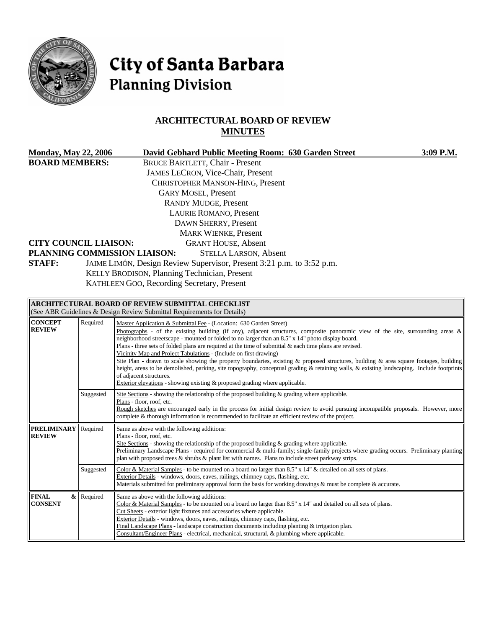

# City of Santa Barbara **Planning Division**

# **ARCHITECTURAL BOARD OF REVIEW MINUTES**

| <b>Monday, May 22, 2006</b>                                                            |            | David Gebhard Public Meeting Room: 630 Garden Street<br>3:09 P.M.                                                                                                                                                                                                                   |  |  |  |
|----------------------------------------------------------------------------------------|------------|-------------------------------------------------------------------------------------------------------------------------------------------------------------------------------------------------------------------------------------------------------------------------------------|--|--|--|
| <b>BOARD MEMBERS:</b>                                                                  |            | <b>BRUCE BARTLETT, Chair - Present</b>                                                                                                                                                                                                                                              |  |  |  |
|                                                                                        |            | JAMES LECRON, Vice-Chair, Present                                                                                                                                                                                                                                                   |  |  |  |
|                                                                                        |            | <b>CHRISTOPHER MANSON-HING, Present</b>                                                                                                                                                                                                                                             |  |  |  |
|                                                                                        |            | <b>GARY MOSEL, Present</b>                                                                                                                                                                                                                                                          |  |  |  |
|                                                                                        |            | <b>RANDY MUDGE, Present</b>                                                                                                                                                                                                                                                         |  |  |  |
|                                                                                        |            | <b>LAURIE ROMANO, Present</b>                                                                                                                                                                                                                                                       |  |  |  |
|                                                                                        |            | DAWN SHERRY, Present                                                                                                                                                                                                                                                                |  |  |  |
|                                                                                        |            | <b>MARK WIENKE, Present</b>                                                                                                                                                                                                                                                         |  |  |  |
| <b>CITY COUNCIL LIAISON:</b><br><b>GRANT HOUSE, Absent</b>                             |            |                                                                                                                                                                                                                                                                                     |  |  |  |
|                                                                                        |            | PLANNING COMMISSION LIAISON:<br><b>STELLA LARSON, Absent</b>                                                                                                                                                                                                                        |  |  |  |
| JAIME LIMÓN, Design Review Supervisor, Present 3:21 p.m. to 3:52 p.m.<br><b>STAFF:</b> |            |                                                                                                                                                                                                                                                                                     |  |  |  |
| KELLY BRODISON, Planning Technician, Present                                           |            |                                                                                                                                                                                                                                                                                     |  |  |  |
|                                                                                        |            | KATHLEEN GOO, Recording Secretary, Present                                                                                                                                                                                                                                          |  |  |  |
|                                                                                        |            |                                                                                                                                                                                                                                                                                     |  |  |  |
|                                                                                        |            | ARCHITECTURAL BOARD OF REVIEW SUBMITTAL CHECKLIST                                                                                                                                                                                                                                   |  |  |  |
|                                                                                        |            | (See ABR Guidelines & Design Review Submittal Requirements for Details)                                                                                                                                                                                                             |  |  |  |
| <b>CONCEPT</b><br><b>REVIEW</b>                                                        | Required   | Master Application & Submittal Fee - (Location: 630 Garden Street)                                                                                                                                                                                                                  |  |  |  |
|                                                                                        |            | Photographs - of the existing building (if any), adjacent structures, composite panoramic view of the site, surrounding areas &<br>neighborhood streetscape - mounted or folded to no larger than an 8.5" x 14" photo display board.                                                |  |  |  |
|                                                                                        |            | Plans - three sets of folded plans are required at the time of submittal $\&$ each time plans are revised.                                                                                                                                                                          |  |  |  |
|                                                                                        |            | Vicinity Map and Project Tabulations - (Include on first drawing)                                                                                                                                                                                                                   |  |  |  |
|                                                                                        |            | Site Plan - drawn to scale showing the property boundaries, existing & proposed structures, building & area square footages, building<br>height, areas to be demolished, parking, site topography, conceptual grading & retaining walls, & existing landscaping. Include footprints |  |  |  |
|                                                                                        |            | of adjacent structures.                                                                                                                                                                                                                                                             |  |  |  |
|                                                                                        |            | Exterior elevations - showing existing $\&$ proposed grading where applicable.                                                                                                                                                                                                      |  |  |  |
|                                                                                        | Suggested  | Site Sections - showing the relationship of the proposed building & grading where applicable.                                                                                                                                                                                       |  |  |  |
|                                                                                        |            | Plans - floor, roof, etc.<br>Rough sketches are encouraged early in the process for initial design review to avoid pursuing incompatible proposals. However, more                                                                                                                   |  |  |  |
|                                                                                        |            | complete & thorough information is recommended to facilitate an efficient review of the project.                                                                                                                                                                                    |  |  |  |
| <b>PRELIMINARY</b>                                                                     | Required   | Same as above with the following additions:                                                                                                                                                                                                                                         |  |  |  |
| <b>REVIEW</b>                                                                          |            | Plans - floor, roof, etc.                                                                                                                                                                                                                                                           |  |  |  |
|                                                                                        |            | Site Sections - showing the relationship of the proposed building & grading where applicable.<br>Preliminary Landscape Plans - required for commercial & multi-family; single-family projects where grading occurs. Preliminary planting                                            |  |  |  |
|                                                                                        |            | plan with proposed trees & shrubs & plant list with names. Plans to include street parkway strips.                                                                                                                                                                                  |  |  |  |
|                                                                                        | Suggested  | Color & Material Samples - to be mounted on a board no larger than $8.5"$ x $14"$ & detailed on all sets of plans.                                                                                                                                                                  |  |  |  |
|                                                                                        |            | Exterior Details - windows, doors, eaves, railings, chimney caps, flashing, etc.                                                                                                                                                                                                    |  |  |  |
|                                                                                        |            | Materials submitted for preliminary approval form the basis for working drawings $\&$ must be complete $\&$ accurate.                                                                                                                                                               |  |  |  |
| <b>FINAL</b>                                                                           | & Required | Same as above with the following additions:                                                                                                                                                                                                                                         |  |  |  |
| <b>CONSENT</b>                                                                         |            | Color & Material Samples - to be mounted on a board no larger than 8.5" x 14" and detailed on all sets of plans.<br>Cut Sheets - exterior light fixtures and accessories where applicable.                                                                                          |  |  |  |
|                                                                                        |            | Exterior Details - windows, doors, eaves, railings, chimney caps, flashing, etc.                                                                                                                                                                                                    |  |  |  |
|                                                                                        |            | Final Landscape Plans - landscape construction documents including planting $\&$ irrigation plan.                                                                                                                                                                                   |  |  |  |
|                                                                                        |            | Consultant/Engineer Plans - electrical, mechanical, structural, & plumbing where applicable.                                                                                                                                                                                        |  |  |  |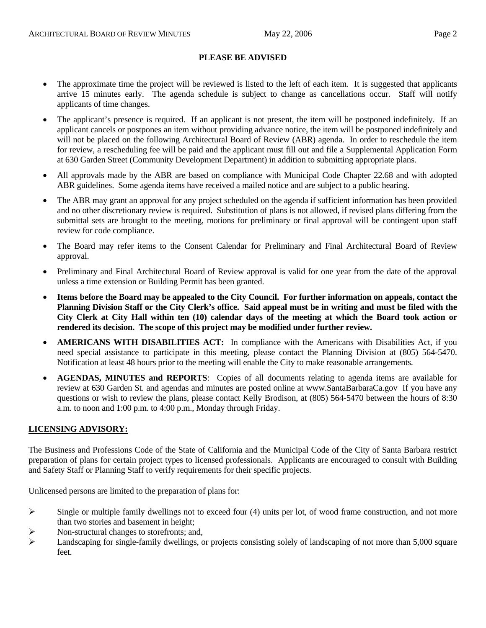#### **PLEASE BE ADVISED**

- The approximate time the project will be reviewed is listed to the left of each item. It is suggested that applicants arrive 15 minutes early. The agenda schedule is subject to change as cancellations occur. Staff will notify applicants of time changes.
- The applicant's presence is required. If an applicant is not present, the item will be postponed indefinitely. If an applicant cancels or postpones an item without providing advance notice, the item will be postponed indefinitely and will not be placed on the following Architectural Board of Review (ABR) agenda. In order to reschedule the item for review, a rescheduling fee will be paid and the applicant must fill out and file a Supplemental Application Form at 630 Garden Street (Community Development Department) in addition to submitting appropriate plans.
- All approvals made by the ABR are based on compliance with Municipal Code Chapter 22.68 and with adopted ABR guidelines. Some agenda items have received a mailed notice and are subject to a public hearing.
- The ABR may grant an approval for any project scheduled on the agenda if sufficient information has been provided and no other discretionary review is required. Substitution of plans is not allowed, if revised plans differing from the submittal sets are brought to the meeting, motions for preliminary or final approval will be contingent upon staff review for code compliance.
- The Board may refer items to the Consent Calendar for Preliminary and Final Architectural Board of Review approval.
- Preliminary and Final Architectural Board of Review approval is valid for one year from the date of the approval unless a time extension or Building Permit has been granted.
- **Items before the Board may be appealed to the City Council. For further information on appeals, contact the Planning Division Staff or the City Clerk's office. Said appeal must be in writing and must be filed with the City Clerk at City Hall within ten (10) calendar days of the meeting at which the Board took action or rendered its decision. The scope of this project may be modified under further review.**
- **AMERICANS WITH DISABILITIES ACT:** In compliance with the Americans with Disabilities Act, if you need special assistance to participate in this meeting, please contact the Planning Division at (805) 564-5470. Notification at least 48 hours prior to the meeting will enable the City to make reasonable arrangements.
- **AGENDAS, MINUTES and REPORTS**: Copies of all documents relating to agenda items are available for review at 630 Garden St. and agendas and minutes are posted online at [www.SantaBarbaraCa.gov](http://www.santabarbaraca.gov/) If you have any questions or wish to review the plans, please contact Kelly Brodison, at (805) 564-5470 between the hours of 8:30 a.m. to noon and 1:00 p.m. to 4:00 p.m., Monday through Friday.

#### **LICENSING ADVISORY:**

The Business and Professions Code of the State of California and the Municipal Code of the City of Santa Barbara restrict preparation of plans for certain project types to licensed professionals. Applicants are encouraged to consult with Building and Safety Staff or Planning Staff to verify requirements for their specific projects.

Unlicensed persons are limited to the preparation of plans for:

- $\triangleright$  Single or multiple family dwellings not to exceed four (4) units per lot, of wood frame construction, and not more than two stories and basement in height;
- ¾ Non-structural changes to storefronts; and,
- $\blacktriangleright$  Landscaping for single-family dwellings, or projects consisting solely of landscaping of not more than 5,000 square feet.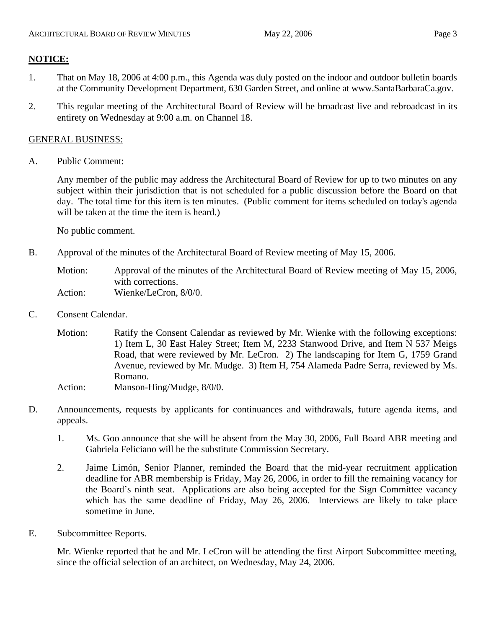# **NOTICE:**

- 1. That on May 18, 2006 at 4:00 p.m., this Agenda was duly posted on the indoor and outdoor bulletin boards at the Community Development Department, 630 Garden Street, and online at www.SantaBarbaraCa.gov.
- 2. This regular meeting of the Architectural Board of Review will be broadcast live and rebroadcast in its entirety on Wednesday at 9:00 a.m. on Channel 18.

## GENERAL BUSINESS:

A. Public Comment:

Any member of the public may address the Architectural Board of Review for up to two minutes on any subject within their jurisdiction that is not scheduled for a public discussion before the Board on that day. The total time for this item is ten minutes. (Public comment for items scheduled on today's agenda will be taken at the time the item is heard.)

No public comment.

B. Approval of the minutes of the Architectural Board of Review meeting of May 15, 2006.

Motion: Approval of the minutes of the Architectural Board of Review meeting of May 15, 2006, with corrections. Action: Wienke/LeCron, 8/0/0.

C. Consent Calendar.

Motion: Ratify the Consent Calendar as reviewed by Mr. Wienke with the following exceptions: 1) Item L, 30 East Haley Street; Item M, 2233 Stanwood Drive, and Item N 537 Meigs Road, that were reviewed by Mr. LeCron. 2) The landscaping for Item G, 1759 Grand Avenue, reviewed by Mr. Mudge. 3) Item H, 754 Alameda Padre Serra, reviewed by Ms. Romano.

- Action: Manson-Hing/Mudge,  $8/0/0$ .
- D. Announcements, requests by applicants for continuances and withdrawals, future agenda items, and appeals.
	- 1. Ms. Goo announce that she will be absent from the May 30, 2006, Full Board ABR meeting and Gabriela Feliciano will be the substitute Commission Secretary.
	- 2. Jaime Limón, Senior Planner, reminded the Board that the mid-year recruitment application deadline for ABR membership is Friday, May 26, 2006, in order to fill the remaining vacancy for the Board's ninth seat. Applications are also being accepted for the Sign Committee vacancy which has the same deadline of Friday, May 26, 2006. Interviews are likely to take place sometime in June.
- E. Subcommittee Reports.

Mr. Wienke reported that he and Mr. LeCron will be attending the first Airport Subcommittee meeting, since the official selection of an architect, on Wednesday, May 24, 2006.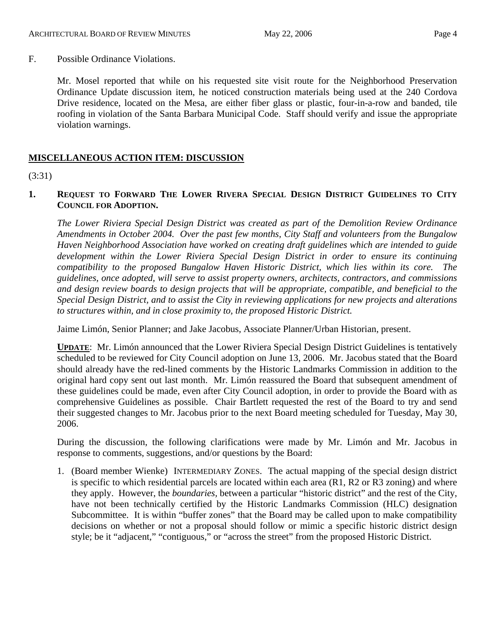F. Possible Ordinance Violations.

Mr. Mosel reported that while on his requested site visit route for the Neighborhood Preservation Ordinance Update discussion item, he noticed construction materials being used at the 240 Cordova Drive residence, located on the Mesa, are either fiber glass or plastic, four-in-a-row and banded, tile roofing in violation of the Santa Barbara Municipal Code. Staff should verify and issue the appropriate violation warnings.

## **MISCELLANEOUS ACTION ITEM: DISCUSSION**

(3:31)

## **1. REQUEST TO FORWARD THE LOWER RIVERA SPECIAL DESIGN DISTRICT GUIDELINES TO CITY COUNCIL FOR ADOPTION.**

*The Lower Riviera Special Design District was created as part of the Demolition Review Ordinance Amendments in October 2004. Over the past few months, City Staff and volunteers from the Bungalow Haven Neighborhood Association have worked on creating draft guidelines which are intended to guide development within the Lower Riviera Special Design District in order to ensure its continuing compatibility to the proposed Bungalow Haven Historic District, which lies within its core. The guidelines, once adopted, will serve to assist property owners, architects, contractors, and commissions and design review boards to design projects that will be appropriate, compatible, and beneficial to the Special Design District, and to assist the City in reviewing applications for new projects and alterations to structures within, and in close proximity to, the proposed Historic District.* 

Jaime Limón, Senior Planner; and Jake Jacobus, Associate Planner/Urban Historian, present.

**UPDATE**: Mr. Limón announced that the Lower Riviera Special Design District Guidelines is tentatively scheduled to be reviewed for City Council adoption on June 13, 2006. Mr. Jacobus stated that the Board should already have the red-lined comments by the Historic Landmarks Commission in addition to the original hard copy sent out last month. Mr. Limón reassured the Board that subsequent amendment of these guidelines could be made, even after City Council adoption, in order to provide the Board with as comprehensive Guidelines as possible. Chair Bartlett requested the rest of the Board to try and send their suggested changes to Mr. Jacobus prior to the next Board meeting scheduled for Tuesday, May 30, 2006.

During the discussion, the following clarifications were made by Mr. Limón and Mr. Jacobus in response to comments, suggestions, and/or questions by the Board:

1. (Board member Wienke) INTERMEDIARY ZONES. The actual mapping of the special design district is specific to which residential parcels are located within each area (R1, R2 or R3 zoning) and where they apply. However, the *boundaries,* between a particular "historic district" and the rest of the City, have not been technically certified by the Historic Landmarks Commission (HLC) designation Subcommittee. It is within "buffer zones" that the Board may be called upon to make compatibility decisions on whether or not a proposal should follow or mimic a specific historic district design style; be it "adjacent," "contiguous," or "across the street" from the proposed Historic District.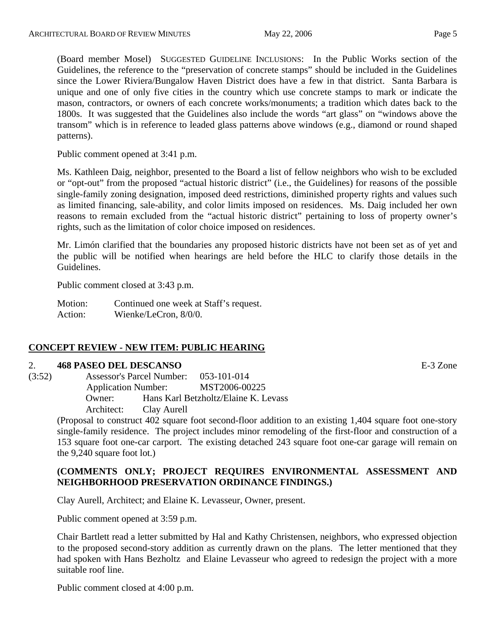(Board member Mosel) SUGGESTED GUIDELINE INCLUSIONS: In the Public Works section of the Guidelines, the reference to the "preservation of concrete stamps" should be included in the Guidelines since the Lower Riviera/Bungalow Haven District does have a few in that district. Santa Barbara is unique and one of only five cities in the country which use concrete stamps to mark or indicate the mason, contractors, or owners of each concrete works/monuments; a tradition which dates back to the 1800s. It was suggested that the Guidelines also include the words "art glass" on "windows above the transom" which is in reference to leaded glass patterns above windows (e.g., diamond or round shaped patterns).

Public comment opened at 3:41 p.m.

Ms. Kathleen Daig, neighbor, presented to the Board a list of fellow neighbors who wish to be excluded or "opt-out" from the proposed "actual historic district" (i.e., the Guidelines) for reasons of the possible single-family zoning designation, imposed deed restrictions, diminished property rights and values such as limited financing, sale-ability, and color limits imposed on residences. Ms. Daig included her own reasons to remain excluded from the "actual historic district" pertaining to loss of property owner's rights, such as the limitation of color choice imposed on residences.

Mr. Limón clarified that the boundaries any proposed historic districts have not been set as of yet and the public will be notified when hearings are held before the HLC to clarify those details in the Guidelines.

Public comment closed at 3:43 p.m.

Motion: Continued one week at Staff's request. Action: Wienke/LeCron, 8/0/0.

## **CONCEPT REVIEW - NEW ITEM: PUBLIC HEARING**

#### 2. **468 PASEO DEL DESCANSO** E-3 Zone

(3:52) Assessor's Parcel Number: 053-101-014 Application Number: MST2006-00225 Owner: Hans Karl Betzholtz/Elaine K. Levass Architect: Clay Aurell

> (Proposal to construct 402 square foot second-floor addition to an existing 1,404 square foot one-story single-family residence. The project includes minor remodeling of the first-floor and construction of a 153 square foot one-car carport. The existing detached 243 square foot one-car garage will remain on the 9,240 square foot lot.)

## **(COMMENTS ONLY; PROJECT REQUIRES ENVIRONMENTAL ASSESSMENT AND NEIGHBORHOOD PRESERVATION ORDINANCE FINDINGS.)**

Clay Aurell, Architect; and Elaine K. Levasseur, Owner, present.

Public comment opened at 3:59 p.m.

Chair Bartlett read a letter submitted by Hal and Kathy Christensen, neighbors, who expressed objection to the proposed second-story addition as currently drawn on the plans. The letter mentioned that they had spoken with Hans Bezholtz and Elaine Levasseur who agreed to redesign the project with a more suitable roof line.

Public comment closed at 4:00 p.m.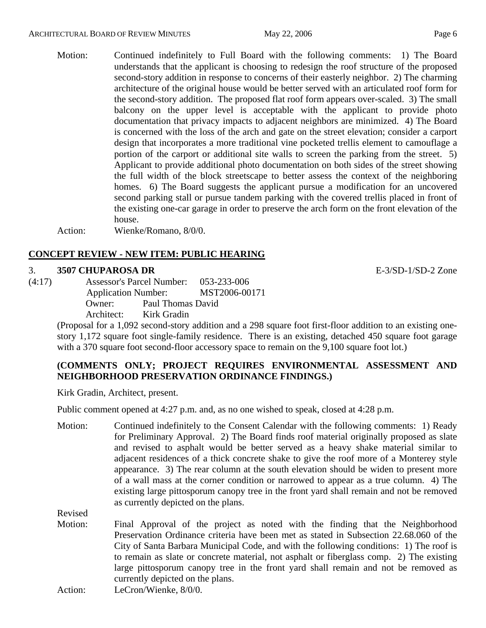- 
- Motion: Continued indefinitely to Full Board with the following comments: 1) The Board understands that the applicant is choosing to redesign the roof structure of the proposed second-story addition in response to concerns of their easterly neighbor. 2) The charming architecture of the original house would be better served with an articulated roof form for the second-story addition. The proposed flat roof form appears over-scaled. 3) The small balcony on the upper level is acceptable with the applicant to provide photo documentation that privacy impacts to adjacent neighbors are minimized. 4) The Board is concerned with the loss of the arch and gate on the street elevation; consider a carport design that incorporates a more traditional vine pocketed trellis element to camouflage a portion of the carport or additional site walls to screen the parking from the street. 5) Applicant to provide additional photo documentation on both sides of the street showing the full width of the block streetscape to better assess the context of the neighboring homes. 6) The Board suggests the applicant pursue a modification for an uncovered second parking stall or pursue tandem parking with the covered trellis placed in front of the existing one-car garage in order to preserve the arch form on the front elevation of the house.

Action: Wienke/Romano, 8/0/0.

## **CONCEPT REVIEW - NEW ITEM: PUBLIC HEARING**

#### 3. **3507 CHUPAROSA DR** E-3/SD-1/SD-2 Zone

(4:17) Assessor's Parcel Number: 053-233-006 Application Number: MST2006-00171 Owner: Paul Thomas David Architect: Kirk Gradin

(Proposal for a 1,092 second-story addition and a 298 square foot first-floor addition to an existing onestory 1,172 square foot single-family residence. There is an existing, detached 450 square foot garage with a 370 square foot second-floor accessory space to remain on the 9,100 square foot lot.)

## **(COMMENTS ONLY; PROJECT REQUIRES ENVIRONMENTAL ASSESSMENT AND NEIGHBORHOOD PRESERVATION ORDINANCE FINDINGS.)**

Kirk Gradin, Architect, present.

Public comment opened at 4:27 p.m. and, as no one wished to speak, closed at 4:28 p.m.

Motion: Continued indefinitely to the Consent Calendar with the following comments: 1) Ready for Preliminary Approval. 2) The Board finds roof material originally proposed as slate and revised to asphalt would be better served as a heavy shake material similar to adjacent residences of a thick concrete shake to give the roof more of a Monterey style appearance. 3) The rear column at the south elevation should be widen to present more of a wall mass at the corner condition or narrowed to appear as a true column. 4) The existing large pittosporum canopy tree in the front yard shall remain and not be removed as currently depicted on the plans.

Revised

Motion: Final Approval of the project as noted with the finding that the Neighborhood Preservation Ordinance criteria have been met as stated in Subsection 22.68.060 of the City of Santa Barbara Municipal Code, and with the following conditions: 1) The roof is to remain as slate or concrete material, not asphalt or fiberglass comp. 2) The existing large pittosporum canopy tree in the front yard shall remain and not be removed as currently depicted on the plans.

Action: LeCron/Wienke, 8/0/0.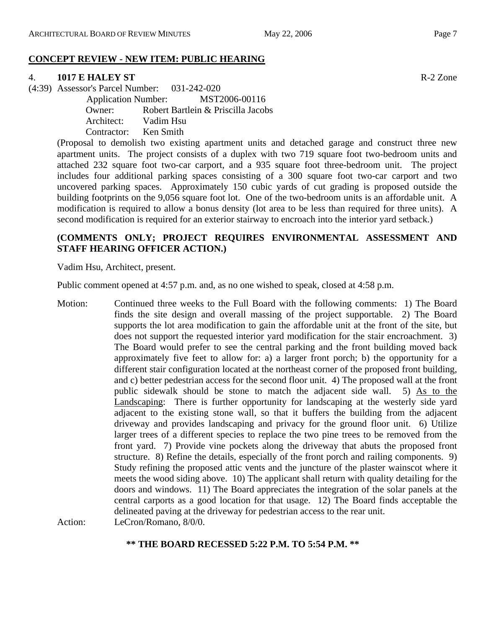## **CONCEPT REVIEW - NEW ITEM: PUBLIC HEARING**

# 4. **1017 E HALEY ST** R-2 Zone

(4:39) Assessor's Parcel Number: 031-242-020

 Application Number: MST2006-00116 Owner: Robert Bartlein & Priscilla Jacobs Architect: Vadim Hsu Contractor: Ken Smith

(Proposal to demolish two existing apartment units and detached garage and construct three new apartment units. The project consists of a duplex with two 719 square foot two-bedroom units and attached 232 square foot two-car carport, and a 935 square foot three-bedroom unit. The project includes four additional parking spaces consisting of a 300 square foot two-car carport and two uncovered parking spaces. Approximately 150 cubic yards of cut grading is proposed outside the building footprints on the 9,056 square foot lot. One of the two-bedroom units is an affordable unit. A modification is required to allow a bonus density (lot area to be less than required for three units). A second modification is required for an exterior stairway to encroach into the interior yard setback.)

## **(COMMENTS ONLY; PROJECT REQUIRES ENVIRONMENTAL ASSESSMENT AND STAFF HEARING OFFICER ACTION.)**

Vadim Hsu, Architect, present.

Public comment opened at 4:57 p.m. and, as no one wished to speak, closed at 4:58 p.m.

Motion: Continued three weeks to the Full Board with the following comments: 1) The Board finds the site design and overall massing of the project supportable. 2) The Board supports the lot area modification to gain the affordable unit at the front of the site, but does not support the requested interior yard modification for the stair encroachment. 3) The Board would prefer to see the central parking and the front building moved back approximately five feet to allow for: a) a larger front porch; b) the opportunity for a different stair configuration located at the northeast corner of the proposed front building, and c) better pedestrian access for the second floor unit. 4) The proposed wall at the front public sidewalk should be stone to match the adjacent side wall. 5) As to the Landscaping: There is further opportunity for landscaping at the westerly side yard adjacent to the existing stone wall, so that it buffers the building from the adjacent driveway and provides landscaping and privacy for the ground floor unit. 6) Utilize larger trees of a different species to replace the two pine trees to be removed from the front yard. 7) Provide vine pockets along the driveway that abuts the proposed front structure. 8) Refine the details, especially of the front porch and railing components. 9) Study refining the proposed attic vents and the juncture of the plaster wainscot where it meets the wood siding above. 10) The applicant shall return with quality detailing for the doors and windows. 11) The Board appreciates the integration of the solar panels at the central carports as a good location for that usage. 12) The Board finds acceptable the delineated paving at the driveway for pedestrian access to the rear unit. Action: LeCron/Romano, 8/0/0.

**\*\* THE BOARD RECESSED 5:22 P.M. TO 5:54 P.M. \*\***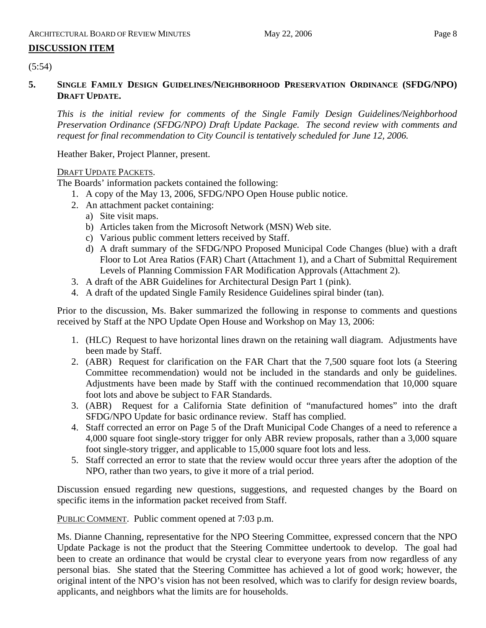# **DISCUSSION ITEM**

 $(5:54)$ 

## **5. SINGLE FAMILY DESIGN GUIDELINES/NEIGHBORHOOD PRESERVATION ORDINANCE (SFDG/NPO) DRAFT UPDATE.**

*This is the initial review for comments of the Single Family Design Guidelines/Neighborhood Preservation Ordinance (SFDG/NPO) Draft Update Package. The second review with comments and request for final recommendation to City Council is tentatively scheduled for June 12, 2006.* 

Heather Baker, Project Planner, present.

## DRAFT UPDATE PACKETS.

The Boards' information packets contained the following:

- 1. A copy of the May 13, 2006, SFDG/NPO Open House public notice.
- 2. An attachment packet containing:
	- a) Site visit maps.
	- b) Articles taken from the Microsoft Network (MSN) Web site.
	- c) Various public comment letters received by Staff.
	- d) A draft summary of the SFDG/NPO Proposed Municipal Code Changes (blue) with a draft Floor to Lot Area Ratios (FAR) Chart (Attachment 1), and a Chart of Submittal Requirement Levels of Planning Commission FAR Modification Approvals (Attachment 2).
- 3. A draft of the ABR Guidelines for Architectural Design Part 1 (pink).
- 4. A draft of the updated Single Family Residence Guidelines spiral binder (tan).

Prior to the discussion, Ms. Baker summarized the following in response to comments and questions received by Staff at the NPO Update Open House and Workshop on May 13, 2006:

- 1. (HLC) Request to have horizontal lines drawn on the retaining wall diagram. Adjustments have been made by Staff.
- 2. (ABR) Request for clarification on the FAR Chart that the 7,500 square foot lots (a Steering Committee recommendation) would not be included in the standards and only be guidelines. Adjustments have been made by Staff with the continued recommendation that 10,000 square foot lots and above be subject to FAR Standards.
- 3. (ABR) Request for a California State definition of "manufactured homes" into the draft SFDG/NPO Update for basic ordinance review. Staff has complied.
- 4. Staff corrected an error on Page 5 of the Draft Municipal Code Changes of a need to reference a 4,000 square foot single-story trigger for only ABR review proposals, rather than a 3,000 square foot single-story trigger, and applicable to 15,000 square foot lots and less.
- 5. Staff corrected an error to state that the review would occur three years after the adoption of the NPO, rather than two years, to give it more of a trial period.

Discussion ensued regarding new questions, suggestions, and requested changes by the Board on specific items in the information packet received from Staff.

PUBLIC COMMENT. Public comment opened at 7:03 p.m.

Ms. Dianne Channing, representative for the NPO Steering Committee, expressed concern that the NPO Update Package is not the product that the Steering Committee undertook to develop. The goal had been to create an ordinance that would be crystal clear to everyone years from now regardless of any personal bias. She stated that the Steering Committee has achieved a lot of good work; however, the original intent of the NPO's vision has not been resolved, which was to clarify for design review boards, applicants, and neighbors what the limits are for households.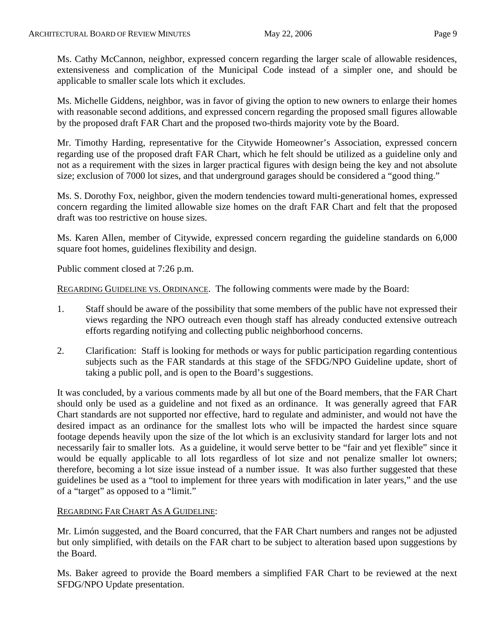Ms. Cathy McCannon, neighbor, expressed concern regarding the larger scale of allowable residences, extensiveness and complication of the Municipal Code instead of a simpler one, and should be applicable to smaller scale lots which it excludes.

Ms. Michelle Giddens, neighbor, was in favor of giving the option to new owners to enlarge their homes with reasonable second additions, and expressed concern regarding the proposed small figures allowable by the proposed draft FAR Chart and the proposed two-thirds majority vote by the Board.

Mr. Timothy Harding, representative for the Citywide Homeowner's Association, expressed concern regarding use of the proposed draft FAR Chart, which he felt should be utilized as a guideline only and not as a requirement with the sizes in larger practical figures with design being the key and not absolute size; exclusion of 7000 lot sizes, and that underground garages should be considered a "good thing."

Ms. S. Dorothy Fox, neighbor, given the modern tendencies toward multi-generational homes, expressed concern regarding the limited allowable size homes on the draft FAR Chart and felt that the proposed draft was too restrictive on house sizes.

Ms. Karen Allen, member of Citywide, expressed concern regarding the guideline standards on 6,000 square foot homes, guidelines flexibility and design.

Public comment closed at 7:26 p.m.

REGARDING GUIDELINE VS. ORDINANCE. The following comments were made by the Board:

- 1. Staff should be aware of the possibility that some members of the public have not expressed their views regarding the NPO outreach even though staff has already conducted extensive outreach efforts regarding notifying and collecting public neighborhood concerns.
- 2. Clarification: Staff is looking for methods or ways for public participation regarding contentious subjects such as the FAR standards at this stage of the SFDG/NPO Guideline update, short of taking a public poll, and is open to the Board's suggestions.

It was concluded, by a various comments made by all but one of the Board members, that the FAR Chart should only be used as a guideline and not fixed as an ordinance. It was generally agreed that FAR Chart standards are not supported nor effective, hard to regulate and administer, and would not have the desired impact as an ordinance for the smallest lots who will be impacted the hardest since square footage depends heavily upon the size of the lot which is an exclusivity standard for larger lots and not necessarily fair to smaller lots. As a guideline, it would serve better to be "fair and yet flexible" since it would be equally applicable to all lots regardless of lot size and not penalize smaller lot owners; therefore, becoming a lot size issue instead of a number issue. It was also further suggested that these guidelines be used as a "tool to implement for three years with modification in later years," and the use of a "target" as opposed to a "limit."

## REGARDING FAR CHART AS A GUIDELINE:

Mr. Limón suggested, and the Board concurred, that the FAR Chart numbers and ranges not be adjusted but only simplified, with details on the FAR chart to be subject to alteration based upon suggestions by the Board.

Ms. Baker agreed to provide the Board members a simplified FAR Chart to be reviewed at the next SFDG/NPO Update presentation.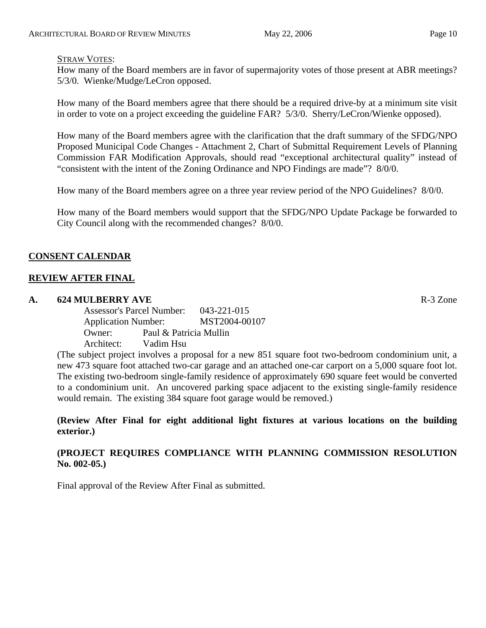#### STRAW VOTES:

How many of the Board members are in favor of supermajority votes of those present at ABR meetings? 5/3/0. Wienke/Mudge/LeCron opposed.

How many of the Board members agree that there should be a required drive-by at a minimum site visit in order to vote on a project exceeding the guideline FAR? 5/3/0. Sherry/LeCron/Wienke opposed).

How many of the Board members agree with the clarification that the draft summary of the SFDG/NPO Proposed Municipal Code Changes - Attachment 2, Chart of Submittal Requirement Levels of Planning Commission FAR Modification Approvals, should read "exceptional architectural quality" instead of "consistent with the intent of the Zoning Ordinance and NPO Findings are made"? 8/0/0.

How many of the Board members agree on a three year review period of the NPO Guidelines? 8/0/0.

How many of the Board members would support that the SFDG/NPO Update Package be forwarded to City Council along with the recommended changes? 8/0/0.

## **CONSENT CALENDAR**

## **REVIEW AFTER FINAL**

## **A. 624 MULBERRY AVE** R-3 Zone

Assessor's Parcel Number: 043-221-015 Application Number: MST2004-00107 Owner: Paul & Patricia Mullin Architect: Vadim Hsu

(The subject project involves a proposal for a new 851 square foot two-bedroom condominium unit, a new 473 square foot attached two-car garage and an attached one-car carport on a 5,000 square foot lot. The existing two-bedroom single-family residence of approximately 690 square feet would be converted to a condominium unit. An uncovered parking space adjacent to the existing single-family residence would remain. The existing 384 square foot garage would be removed.)

**(Review After Final for eight additional light fixtures at various locations on the building exterior.)** 

## **(PROJECT REQUIRES COMPLIANCE WITH PLANNING COMMISSION RESOLUTION No. 002-05.)**

Final approval of the Review After Final as submitted.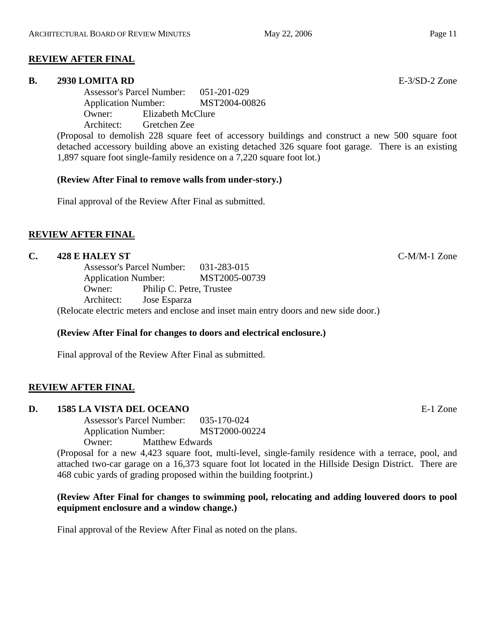## **REVIEW AFTER FINAL**

#### **B. 2930 LOMITA RD** E-3/SD-2 Zone

Assessor's Parcel Number: 051-201-029 Application Number: MST2004-00826 Owner: Elizabeth McClure Architect: Gretchen Zee

(Proposal to demolish 228 square feet of accessory buildings and construct a new 500 square foot detached accessory building above an existing detached 326 square foot garage. There is an existing 1,897 square foot single-family residence on a 7,220 square foot lot.)

## **(Review After Final to remove walls from under-story.)**

Final approval of the Review After Final as submitted.

## **REVIEW AFTER FINAL**

#### **C. 428 E HALEY ST** C-M/M-1 Zone

Assessor's Parcel Number: 031-283-015 Application Number: MST2005-00739 Owner: Philip C. Petre, Trustee Architect: Jose Esparza

(Relocate electric meters and enclose and inset main entry doors and new side door.)

## **(Review After Final for changes to doors and electrical enclosure.)**

Final approval of the Review After Final as submitted.

## **REVIEW AFTER FINAL**

## **D. 1585 LA VISTA DEL OCEANO** E-1 Zone

Assessor's Parcel Number: 035-170-024 Application Number: MST2000-00224 Owner: Matthew Edwards

(Proposal for a new 4,423 square foot, multi-level, single-family residence with a terrace, pool, and attached two-car garage on a 16,373 square foot lot located in the Hillside Design District. There are 468 cubic yards of grading proposed within the building footprint.)

## **(Review After Final for changes to swimming pool, relocating and adding louvered doors to pool equipment enclosure and a window change.)**

Final approval of the Review After Final as noted on the plans.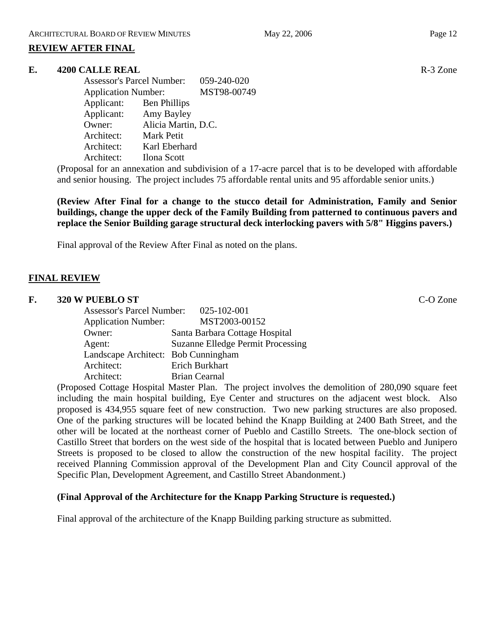## **REVIEW AFTER FINAL**

## **E.** 4200 CALLE REAL **REAL R-3** Zone

Assessor's Parcel Number: 059-240-020 Application Number: MST98-00749 Applicant: Ben Phillips Applicant: Amy Bayley Owner: Alicia Martin, D.C. Architect: Mark Petit Architect: Karl Eberhard Architect: Ilona Scott

(Proposal for an annexation and subdivision of a 17-acre parcel that is to be developed with affordable and senior housing. The project includes 75 affordable rental units and 95 affordable senior units.)

**(Review After Final for a change to the stucco detail for Administration, Family and Senior buildings, change the upper deck of the Family Building from patterned to continuous pavers and replace the Senior Building garage structural deck interlocking pavers with 5/8" Higgins pavers.)** 

Final approval of the Review After Final as noted on the plans.

## **FINAL REVIEW**

#### **F. 320 W PUEBLO ST** C-O Zone

| <b>Assessor's Parcel Number:</b>    | 025-102-001                              |  |
|-------------------------------------|------------------------------------------|--|
| <b>Application Number:</b>          | MST2003-00152                            |  |
| Owner:                              | Santa Barbara Cottage Hospital           |  |
| Agent:                              | <b>Suzanne Elledge Permit Processing</b> |  |
| Landscape Architect: Bob Cunningham |                                          |  |
| Architect:                          | Erich Burkhart                           |  |
| Architect:                          | <b>Brian Cearnal</b>                     |  |

(Proposed Cottage Hospital Master Plan. The project involves the demolition of 280,090 square feet including the main hospital building, Eye Center and structures on the adjacent west block. Also proposed is 434,955 square feet of new construction. Two new parking structures are also proposed. One of the parking structures will be located behind the Knapp Building at 2400 Bath Street, and the other will be located at the northeast corner of Pueblo and Castillo Streets. The one-block section of Castillo Street that borders on the west side of the hospital that is located between Pueblo and Junipero Streets is proposed to be closed to allow the construction of the new hospital facility. The project received Planning Commission approval of the Development Plan and City Council approval of the Specific Plan, Development Agreement, and Castillo Street Abandonment.)

## **(Final Approval of the Architecture for the Knapp Parking Structure is requested.)**

Final approval of the architecture of the Knapp Building parking structure as submitted.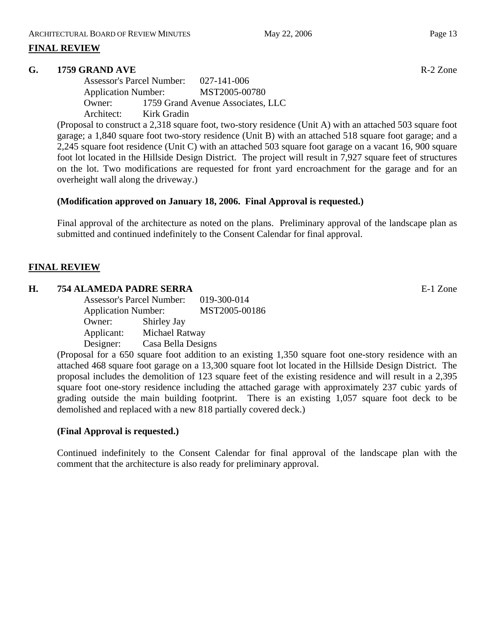## **FINAL REVIEW**

## **G. 1759 GRAND AVE** R-2 Zone

Assessor's Parcel Number: 027-141-006 Application Number: MST2005-00780 Owner: 1759 Grand Avenue Associates, LLC Architect: Kirk Gradin

(Proposal to construct a 2,318 square foot, two-story residence (Unit A) with an attached 503 square foot garage; a 1,840 square foot two-story residence (Unit B) with an attached 518 square foot garage; and a 2,245 square foot residence (Unit C) with an attached 503 square foot garage on a vacant 16, 900 square foot lot located in the Hillside Design District. The project will result in 7,927 square feet of structures on the lot. Two modifications are requested for front yard encroachment for the garage and for an overheight wall along the driveway.)

## **(Modification approved on January 18, 2006. Final Approval is requested.)**

Final approval of the architecture as noted on the plans. Preliminary approval of the landscape plan as submitted and continued indefinitely to the Consent Calendar for final approval.

## **FINAL REVIEW**

#### **H. 754 ALAMEDA PADRE SERRA** E-1 Zone

Assessor's Parcel Number: 019-300-014 Application Number: MST2005-00186 Owner: Shirley Jay Applicant: Michael Ratway Designer: Casa Bella Designs

(Proposal for a 650 square foot addition to an existing 1,350 square foot one-story residence with an attached 468 square foot garage on a 13,300 square foot lot located in the Hillside Design District. The proposal includes the demolition of 123 square feet of the existing residence and will result in a 2,395 square foot one-story residence including the attached garage with approximately 237 cubic yards of grading outside the main building footprint. There is an existing 1,057 square foot deck to be demolished and replaced with a new 818 partially covered deck.)

## **(Final Approval is requested.)**

Continued indefinitely to the Consent Calendar for final approval of the landscape plan with the comment that the architecture is also ready for preliminary approval.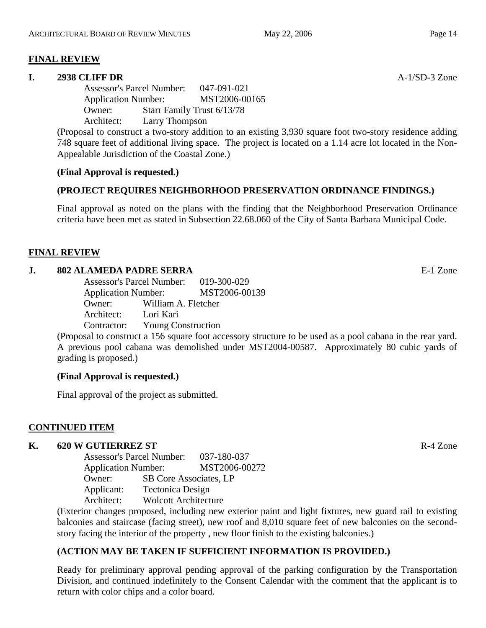## **FINAL REVIEW**

## **I. 2938 CLIFF DR** A-1/SD-3 Zone

Assessor's Parcel Number: 047-091-021 Application Number: MST2006-00165 Owner: Starr Family Trust 6/13/78 Architect: Larry Thompson

(Proposal to construct a two-story addition to an existing 3,930 square foot two-story residence adding 748 square feet of additional living space. The project is located on a 1.14 acre lot located in the Non-Appealable Jurisdiction of the Coastal Zone.)

## **(Final Approval is requested.)**

## **(PROJECT REQUIRES NEIGHBORHOOD PRESERVATION ORDINANCE FINDINGS.)**

Final approval as noted on the plans with the finding that the Neighborhood Preservation Ordinance criteria have been met as stated in Subsection 22.68.060 of the City of Santa Barbara Municipal Code.

## **FINAL REVIEW**

## **J. 802 ALAMEDA PADRE SERRA** E-1 Zone

| <b>Assessor's Parcel Number:</b> |                           | 019-300-029   |
|----------------------------------|---------------------------|---------------|
| <b>Application Number:</b>       |                           | MST2006-00139 |
| Owner:                           | William A. Fletcher       |               |
| Architect:                       | Lori Kari                 |               |
| Contractor:                      | <b>Young Construction</b> |               |

(Proposal to construct a 156 square foot accessory structure to be used as a pool cabana in the rear yard. A previous pool cabana was demolished under MST2004-00587. Approximately 80 cubic yards of grading is proposed.)

## **(Final Approval is requested.)**

Final approval of the project as submitted.

## **CONTINUED ITEM**

# **K.** 620 W GUTIERREZ ST **R-4** Zone

Assessor's Parcel Number: 037-180-037 Application Number: MST2006-00272 Owner: SB Core Associates, LP Applicant: Tectonica Design Architect: Wolcott Architecture

(Exterior changes proposed, including new exterior paint and light fixtures, new guard rail to existing balconies and staircase (facing street), new roof and 8,010 square feet of new balconies on the secondstory facing the interior of the property , new floor finish to the existing balconies.)

## **(ACTION MAY BE TAKEN IF SUFFICIENT INFORMATION IS PROVIDED.)**

Ready for preliminary approval pending approval of the parking configuration by the Transportation Division, and continued indefinitely to the Consent Calendar with the comment that the applicant is to return with color chips and a color board.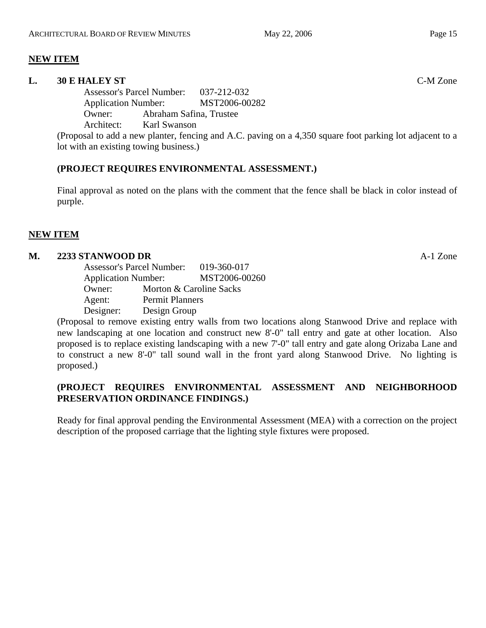## **NEW ITEM**

## **L. 30 E HALEY ST** C-M Zone

Assessor's Parcel Number: 037-212-032 Application Number: MST2006-00282 Owner: Abraham Safina, Trustee Architect: Karl Swanson

(Proposal to add a new planter, fencing and A.C. paving on a 4,350 square foot parking lot adjacent to a lot with an existing towing business.)

## **(PROJECT REQUIRES ENVIRONMENTAL ASSESSMENT.)**

Final approval as noted on the plans with the comment that the fence shall be black in color instead of purple.

## **NEW ITEM**

## **M. 2233 STANWOOD DR** A-1 Zone

Assessor's Parcel Number: 019-360-017 Application Number: MST2006-00260 Owner: Morton & Caroline Sacks Agent: Permit Planners Designer: Design Group

(Proposal to remove existing entry walls from two locations along Stanwood Drive and replace with new landscaping at one location and construct new 8'-0" tall entry and gate at other location. Also proposed is to replace existing landscaping with a new 7'-0" tall entry and gate along Orizaba Lane and to construct a new 8'-0" tall sound wall in the front yard along Stanwood Drive. No lighting is proposed.)

## **(PROJECT REQUIRES ENVIRONMENTAL ASSESSMENT AND NEIGHBORHOOD PRESERVATION ORDINANCE FINDINGS.)**

Ready for final approval pending the Environmental Assessment (MEA) with a correction on the project description of the proposed carriage that the lighting style fixtures were proposed.